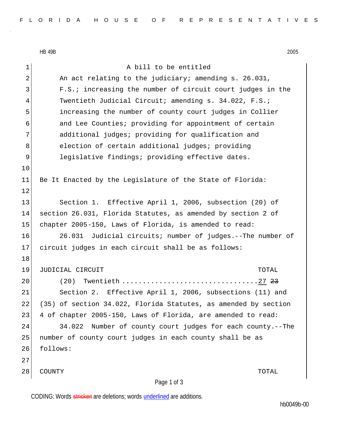HB 49B 2005

| $\mathbf 1$    | A bill to be entitled                                           |
|----------------|-----------------------------------------------------------------|
| $\overline{2}$ | An act relating to the judiciary; amending s. 26.031,           |
| 3              | F.S.; increasing the number of circuit court judges in the      |
| 4              | Twentieth Judicial Circuit; amending s. 34.022, F.S.;           |
| 5              | increasing the number of county court judges in Collier         |
| 6              | and Lee Counties; providing for appointment of certain          |
| 7              | additional judges; providing for qualification and              |
| 8              | election of certain additional judges; providing                |
| 9              | legislative findings; providing effective dates.                |
| 10             |                                                                 |
| 11             | Be It Enacted by the Legislature of the State of Florida:       |
| 12             |                                                                 |
| 13             | Section 1. Effective April 1, 2006, subsection (20) of          |
| 14             | section 26.031, Florida Statutes, as amended by section 2 of    |
| 15             | chapter 2005-150, Laws of Florida, is amended to read:          |
| 16             | 26.031 Judicial circuits; number of judges.--The number of      |
| 17             | circuit judges in each circuit shall be as follows:             |
| 18             |                                                                 |
| 19             | JUDICIAL CIRCUIT<br>TOTAL                                       |
| 20             | (20)                                                            |
| 21             | Section 2. Effective April 1, 2006, subsections (11) and        |
| 22             | (35) of section 34.022, Florida Statutes, as amended by section |
| 23             | 4 of chapter 2005-150, Laws of Florida, are amended to read:    |
| 24             | 34.022<br>Number of county court judges for each county.--The   |
| 25             | number of county court judges in each county shall be as        |
| 26             | follows:                                                        |
| 27             |                                                                 |
| 28             | COUNTY<br>TOTAL                                                 |
|                | Page 1 of 3                                                     |

CODING: Words stricken are deletions; words underlined are additions.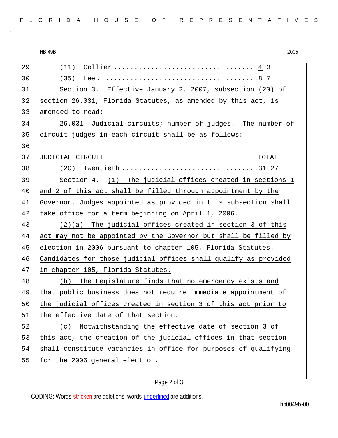|    | 2005<br><b>HB 49B</b>                                           |
|----|-----------------------------------------------------------------|
| 29 |                                                                 |
| 30 | (35)                                                            |
| 31 | Section 3. Effective January 2, 2007, subsection (20) of        |
| 32 | section 26.031, Florida Statutes, as amended by this act, is    |
| 33 | amended to read:                                                |
| 34 | 26.031 Judicial circuits; number of judges.--The number of      |
| 35 | circuit judges in each circuit shall be as follows:             |
| 36 |                                                                 |
| 37 | JUDICIAL CIRCUIT<br>TOTAL                                       |
| 38 | (20)                                                            |
| 39 | Section 4. (1) The judicial offices created in sections 1       |
| 40 | and 2 of this act shall be filled through appointment by the    |
| 41 | Governor. Judges appointed as provided in this subsection shall |
| 42 | take office for a term beginning on April 1, 2006.              |
| 43 | $(2)(a)$ The judicial offices created in section 3 of this      |
| 44 | act may not be appointed by the Governor but shall be filled by |
| 45 | election in 2006 pursuant to chapter 105, Florida Statutes.     |
| 46 | Candidates for those judicial offices shall qualify as provided |
| 47 | in chapter 105, Florida Statutes.                               |
| 48 | The Legislature finds that no emergency exists and<br>(b)       |
| 49 | that public business does not require immediate appointment of  |
| 50 | the judicial offices created in section 3 of this act prior to  |
| 51 | the effective date of that section.                             |
| 52 | Notwithstanding the effective date of section 3 of<br>(c)       |
| 53 | this act, the creation of the judicial offices in that section  |
| 54 | shall constitute vacancies in office for purposes of qualifying |
| 55 | for the 2006 general election.                                  |
|    |                                                                 |

## Page 2 of 3

CODING: Words stricken are deletions; words underlined are additions.